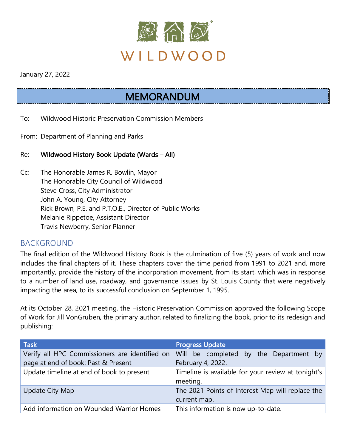

January 27, 2022

# MEMORANDUM

- To: Wildwood Historic Preservation Commission Members
- From: Department of Planning and Parks
- Re: Wildwood History Book Update (Wards All)
- Cc: The Honorable James R. Bowlin, Mayor The Honorable City Council of Wildwood Steve Cross, City Administrator John A. Young, City Attorney Rick Brown, P.E. and P.T.O.E., Director of Public Works Melanie Rippetoe, Assistant Director Travis Newberry, Senior Planner

### BACKGROUND

The final edition of the Wildwood History Book is the culmination of five (5) years of work and now includes the final chapters of it. These chapters cover the time period from 1991 to 2021 and, more importantly, provide the history of the incorporation movement, from its start, which was in response to a number of land use, roadway, and governance issues by St. Louis County that were negatively impacting the area, to its successful conclusion on September 1, 1995.

At its October 28, 2021 meeting, the Historic Preservation Commission approved the following Scope of Work for Jill VonGruben, the primary author, related to finalizing the book, prior to its redesign and publishing:

| <b>Task</b>                                    | <b>Progress Update</b>                                           |
|------------------------------------------------|------------------------------------------------------------------|
| Verify all HPC Commissioners are identified on | Will be completed by the Department by                           |
| page at end of book: Past & Present            | February 4, 2022.                                                |
| Update timeline at end of book to present      | Timeline is available for your review at tonight's<br>meeting.   |
| Update City Map                                | The 2021 Points of Interest Map will replace the<br>current map. |
| Add information on Wounded Warrior Homes       | This information is now up-to-date.                              |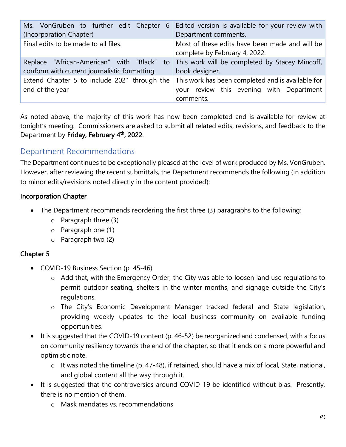| Ms. VonGruben to further edit Chapter<br>6                                               | Edited version is available for your review with                                                           |
|------------------------------------------------------------------------------------------|------------------------------------------------------------------------------------------------------------|
| (Incorporation Chapter)                                                                  | Department comments.                                                                                       |
| Final edits to be made to all files.                                                     | Most of these edits have been made and will be<br>complete by February 4, 2022.                            |
| Replace "African-American" with "Black"<br>conform with current journalistic formatting. | to This work will be completed by Stacey Mincoff,<br>book designer.                                        |
| Extend Chapter 5 to include 2021 through the<br>end of the year                          | This work has been completed and is available for<br>your review this evening with Department<br>comments. |

As noted above, the majority of this work has now been completed and is available for review at tonight's meeting. Commissioners are asked to submit all related edits, revisions, and feedback to the Department by Friday, February 4<sup>th</sup>, 2022.

# Department Recommendations

The Department continues to be exceptionally pleased at the level of work produced by Ms. VonGruben. However, after reviewing the recent submittals, the Department recommends the following (in addition to minor edits/revisions noted directly in the content provided):

#### Incorporation Chapter

- The Department recommends reordering the first three (3) paragraphs to the following:
	- o Paragraph three (3)
	- o Paragraph one (1)
	- o Paragraph two (2)

#### Chapter 5

- COVID-19 Business Section (p. 45-46)
	- o Add that, with the Emergency Order, the City was able to loosen land use regulations to permit outdoor seating, shelters in the winter months, and signage outside the City's regulations.
	- o The City's Economic Development Manager tracked federal and State legislation, providing weekly updates to the local business community on available funding opportunities.
- It is suggested that the COVID-19 content (p. 46-52) be reorganized and condensed, with a focus on community resiliency towards the end of the chapter, so that it ends on a more powerful and optimistic note.
	- $\circ$  It was noted the timeline (p. 47-48), if retained, should have a mix of local, State, national, and global content all the way through it.
- It is suggested that the controversies around COVID-19 be identified without bias. Presently, there is no mention of them.
	- o Mask mandates vs. recommendations